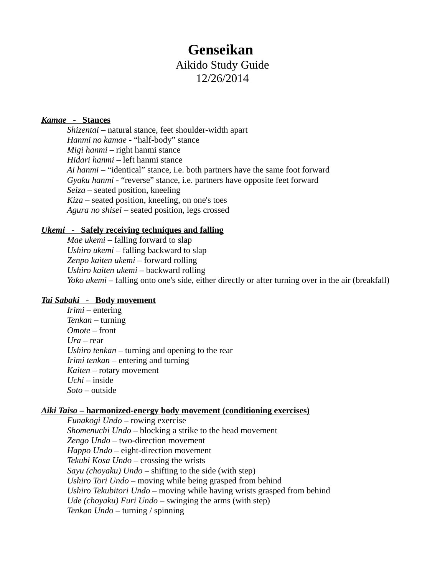# **Genseikan**  Aikido Study Guide 12/26/2014

### *Kamae* **- Stances**

*Shizentai* – natural stance, feet shoulder-width apart *Hanmi no kamae* - "half-body" stance *Migi hanmi* – right hanmi stance *Hidari hanmi* – left hanmi stance *Ai hanmi* – "identical" stance, i.e. both partners have the same foot forward *Gyaku hanmi* - "reverse" stance, i.e. partners have opposite feet forward *Seiza* – seated position, kneeling *Kiza* – seated position, kneeling, on one's toes *Agura no shisei* – seated position, legs crossed

#### *Ukemi* **- Safely receiving techniques and falling**

*Mae ukemi* – falling forward to slap *Ushiro ukemi* – falling backward to slap *Zenpo kaiten ukemi* – forward rolling *Ushiro kaiten ukemi* – backward rolling *Yoko ukemi* – falling onto one's side, either directly or after turning over in the air (breakfall)

### *Tai Sabaki* **- Body movement**

*Irimi* – entering *Tenkan* – turning *Omote* – front *Ura* – rear *Ushiro tenkan* – turning and opening to the rear *Irimi tenkan* – entering and turning *Kaiten* – rotary movement *Uchi* – inside *Soto* – outside

### *Aiki Taiso* **– harmonized-energy body movement (conditioning exercises)**

*Funakogi Undo* – rowing exercise *Shomenuchi Undo* – blocking a strike to the head movement *Zengo Undo* – two-direction movement *Happo Undo* – eight-direction movement *Tekubi Kosa Undo* – crossing the wrists *Sayu (choyaku) Undo* – shifting to the side (with step) *Ushiro Tori Undo* – moving while being grasped from behind *Ushiro Tekubitori Undo* – moving while having wrists grasped from behind *Ude (choyaku) Furi Undo* – swinging the arms (with step) *Tenkan Undo* – turning / spinning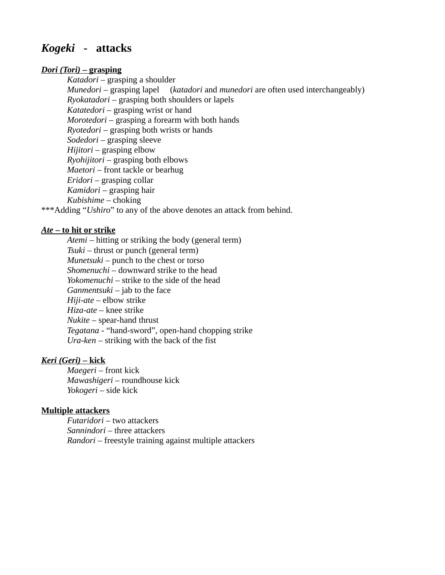## *Kogeki* **- attacks**

### *Dori (Tori)* **– grasping**

*Katadori* – grasping a shoulder *Munedori* – grasping lapel (*katadori* and *munedori* are often used interchangeably) *Ryokatadori* – grasping both shoulders or lapels *Katatedori* – grasping wrist or hand *Morotedori* – grasping a forearm with both hands *Ryotedori* – grasping both wrists or hands *Sodedori* – grasping sleeve *Hijitori* – grasping elbow *Ryohijitori* – grasping both elbows *Maetori* – front tackle or bearhug *Eridori* – grasping collar *Kamidori* – grasping hair *Kubishime* – choking

\*\*\*Adding "*Ushiro*" to any of the above denotes an attack from behind.

### *Ate* **– to hit or strike**

*Atemi* – hitting or striking the body (general term) *Tsuki* – thrust or punch (general term) *Munetsuki* – punch to the chest or torso *Shomenuchi* – downward strike to the head *Yokomenuchi* – strike to the side of the head *Ganmentsuki* – jab to the face *Hiji-ate* – elbow strike *Hiza-ate* – knee strike *Nukite* – spear-hand thrust *Tegatana* - "hand-sword", open-hand chopping strike *Ura-ken* – striking with the back of the fist

## *Keri (Geri)* **– kick**

*Maegeri* – front kick *Mawashigeri* – roundhouse kick *Yokogeri* – side kick

### **Multiple attackers**

*Futaridori* – two attackers *Sannindori* – three attackers *Randori* – freestyle training against multiple attackers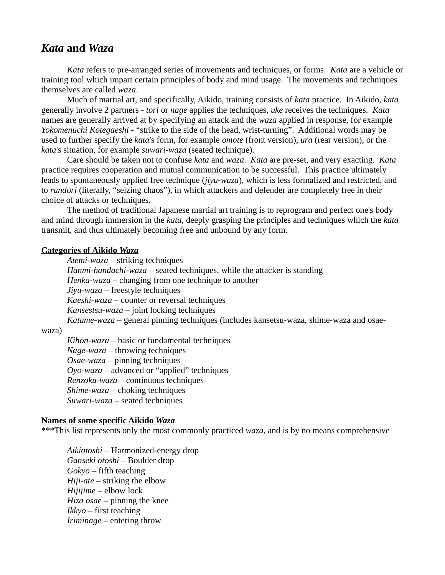## *Kata* **and** *Waza*

*Kata* refers to pre-arranged series of movements and techniques, or forms. *Kata* are a vehicle or training tool which impart certain principles of body and mind usage. The movements and techniques themselves are called *waza*.

Much of martial art, and specifically, Aikido, training consists of *kata* practice. In Aikido, *kata* generally involve 2 partners - *tori* or *nage* applies the techniques, *uke* receives the techniques. *Kata* names are generally arrived at by specifying an attack and the *waza* applied in response, for example *Yokomenuchi Kotegaeshi* - "strike to the side of the head, wrist-turning". Additional words may be used to further specify the *kata*'s form, for example *omote* (front version), *ura* (rear version), or the *kata*'s situation, for example *suwari-waza* (seated technique).

Care should be taken not to confuse *kata* and *waza*. *Kata* are pre-set, and very exacting. *Kata* practice requires cooperation and mutual communication to be successful. This practice ultimately leads to spontaneously applied free technique (*jiyu-waza*), which is less formalized and restricted, and to *randori* (literally, "seizing chaos"), in which attackers and defender are completely free in their choice of attacks or techniques.

The method of traditional Japanese martial art training is to reprogram and perfect one's body and mind through immersion in the *kata*, deeply grasping the principles and techniques which the *kata* transmit, and thus ultimately becoming free and unbound by any form.

### **Categories of Aikido** *Waza*

*Atemi-waza* – striking techniques *Hanmi-handachi-waza* – seated techniques, while the attacker is standing *Henka-waza* – changing from one technique to another *Jiyu-waza* – freestyle techniques *Kaeshi-waza* – counter or reversal techniques *Kansestsu-waza* – joint locking techniques *Katame-waza* – general pinning techniques (includes kansetsu-waza, shime-waza and osae-

waza)

*Kihon-waza* – basic or fundamental techniques *Nage-waza* – throwing techniques *Osae-waza* – pinning techniques *Oyo-waza* – advanced or "applied" techniques *Renzoku-waza* – continuous techniques *Shime-waza* – choking techniques *Suwari-waza* – seated techniques

### **Names of some specific Aikido** *Waza*

\*\*\*This list represents only the most commonly practiced *waza*, and is by no means comprehensive

*Aikiotoshi* – Harmonized-energy drop *Ganseki otoshi* – Boulder drop *Gokyo* – fifth teaching *Hiji-ate* – striking the elbow *Hijijime* – elbow lock *Hiza osae* – pinning the knee *Ikkyo* – first teaching *Iriminage* – entering throw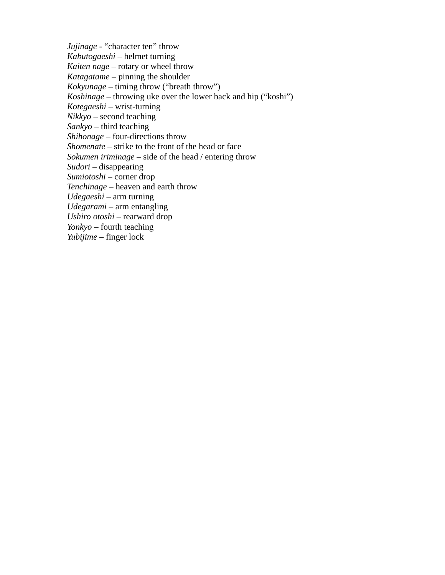*Jujinage* - "character ten" throw *Kabutogaeshi* – helmet turning *Kaiten nage* – rotary or wheel throw *Katagatame* – pinning the shoulder *Kokyunage* – timing throw ("breath throw") *Koshinage* – throwing uke over the lower back and hip ("koshi") *Kotegaeshi* – wrist-turning *Nikkyo* – second teaching *Sankyo* – third teaching *Shihonage* – four-directions throw *Shomenate* – strike to the front of the head or face *Sokumen iriminage* – side of the head / entering throw *Sudori* – disappearing *Sumiotoshi* – corner drop *Tenchinage* – heaven and earth throw *Udegaeshi* – arm turning *Udegarami* – arm entangling *Ushiro otoshi* – rearward drop *Yonkyo* – fourth teaching *Yubijime* – finger lock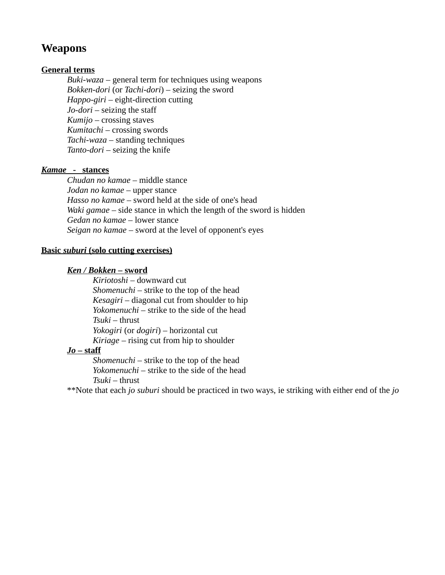## **Weapons**

## **General terms**

*Buki-waza* – general term for techniques using weapons *Bokken-dori* (or *Tachi-dori*) – seizing the sword *Happo-giri* – eight-direction cutting *Jo-dori* – seizing the staff *Kumijo* – crossing staves *Kumitachi* – crossing swords *Tachi-waza* – standing techniques *Tanto-dori* – seizing the knife

## *Kamae* **- stances**

*Chudan no kamae* – middle stance *Jodan no kamae* – upper stance *Hasso no kamae* – sword held at the side of one's head *Waki gamae* – side stance in which the length of the sword is hidden *Gedan no kamae* – lower stance *Seigan no kamae* – sword at the level of opponent's eyes

## **Basic** *suburi* **(solo cutting exercises)**

## *Ken / Bokken* **– sword**

*Kiriotoshi* – downward cut *Shomenuchi* – strike to the top of the head *Kesagiri* – diagonal cut from shoulder to hip *Yokomenuchi* – strike to the side of the head *Tsuki* – thrust *Yokogiri* (or *dogiri*) – horizontal cut *Kiriage* – rising cut from hip to shoulder

## *Jo* **– staff**

*Shomenuchi* – strike to the top of the head *Yokomenuchi* – strike to the side of the head *Tsuki* – thrust

\*\*Note that each *jo suburi* should be practiced in two ways, ie striking with either end of the *jo*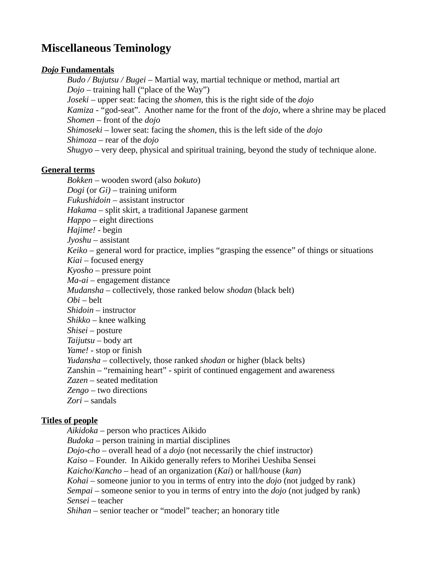# **Miscellaneous Teminology**

### *Dojo* **Fundamentals**

*Budo / Bujutsu / Bugei* – Martial way, martial technique or method, martial art *Dojo* – training hall ("place of the Way") *Joseki* – upper seat: facing the *shomen*, this is the right side of the *dojo Kamiza* - "god-seat". Another name for the front of the *dojo*, where a shrine may be placed *Shomen* – front of the *dojo Shimoseki* – lower seat: facing the *shomen*, this is the left side of the *dojo Shimoza* – rear of the *dojo Shugyo* – very deep, physical and spiritual training, beyond the study of technique alone.

### **General terms**

*Bokken* – wooden sword (also *bokuto*) *Dogi* (or *Gi)* – training uniform *Fukushidoin* – assistant instructor *Hakama* – split skirt, a traditional Japanese garment *Happo* – eight directions *Hajime!* - begin *Jyoshu* – assistant *Keiko* – general word for practice, implies "grasping the essence" of things or situations *Kiai* – focused energy *Kyosho* – pressure point *Ma-ai* – engagement distance *Mudansha* – collectively, those ranked below *shodan* (black belt) *Obi* – belt *Shidoin* – instructor *Shikko* – knee walking *Shisei* – posture *Taijutsu* – body art *Yame!* - stop or finish *Yudansha* – collectively, those ranked *shodan* or higher (black belts) Zanshin – "remaining heart" - spirit of continued engagement and awareness *Zazen* – seated meditation *Zengo* – two directions *Zori* – sandals

## **Titles of people**

*Aikidoka* – person who practices Aikido *Budoka* – person training in martial disciplines *Dojo*-*cho* – overall head of a *dojo* (not necessarily the chief instructor) *Kaiso* – Founder. In Aikido generally refers to Morihei Ueshiba Sensei *Kaicho*/*Kancho* – head of an organization (*Kai*) or hall/house (*kan*) *Kohai* – someone junior to you in terms of entry into the *dojo* (not judged by rank) *Sempai* – someone senior to you in terms of entry into the *dojo* (not judged by rank) *Sensei* – teacher *Shihan* – senior teacher or "model" teacher; an honorary title